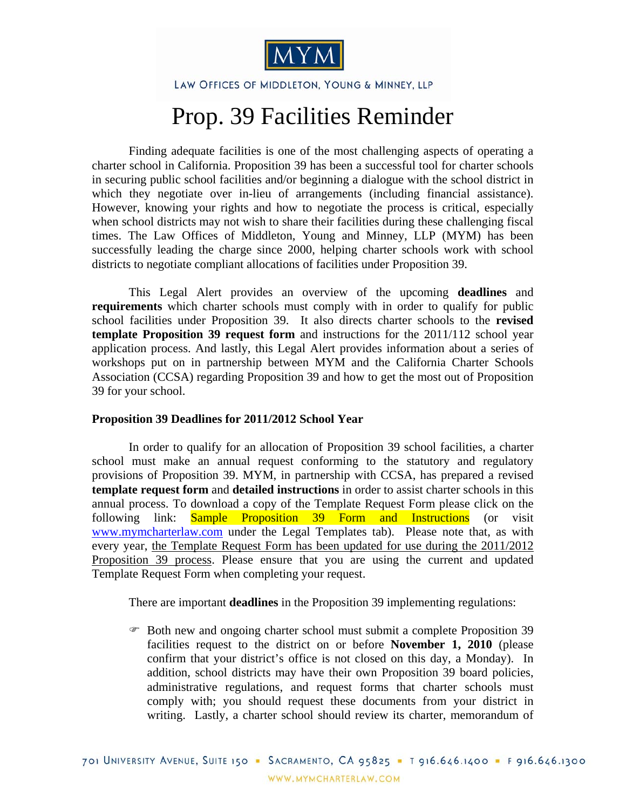

LAW OFFICES OF MIDDLETON, YOUNG & MINNEY, LLP

## Prop. 39 Facilities Reminder

Finding adequate facilities is one of the most challenging aspects of operating a charter school in California. Proposition 39 has been a successful tool for charter schools in securing public school facilities and/or beginning a dialogue with the school district in which they negotiate over in-lieu of arrangements (including financial assistance). However, knowing your rights and how to negotiate the process is critical, especially when school districts may not wish to share their facilities during these challenging fiscal times. The Law Offices of Middleton, Young and Minney, LLP (MYM) has been successfully leading the charge since 2000, helping charter schools work with school districts to negotiate compliant allocations of facilities under Proposition 39.

This Legal Alert provides an overview of the upcoming **deadlines** and **requirements** which charter schools must comply with in order to qualify for public school facilities under Proposition 39. It also directs charter schools to the **revised template Proposition 39 request form** and instructions for the 2011/112 school year application process. And lastly, this Legal Alert provides information about a series of workshops put on in partnership between MYM and the California Charter Schools Association (CCSA) regarding Proposition 39 and how to get the most out of Proposition 39 for your school.

## **Proposition 39 Deadlines for 2011/2012 School Year**

In order to qualify for an allocation of Proposition 39 school facilities, a charter school must make an annual request conforming to the statutory and regulatory provisions of Proposition 39. MYM, in partnership with CCSA, has prepared a revised **template request form** and **detailed instructions** in order to assist charter schools in this annual process. To download a copy of the Template Request Form please click on the following link: [Sample Proposition 39 Form and Instructions](http://mymcharterlaw.com/docs/Prop%2039%20sample%20form%202011-12.doc) (or visit www.mymcharterlaw.com under the Legal Templates tab). Please note that, as with every year, the Template Request Form has been updated for use during the 2011/2012 Proposition 39 process. Please ensure that you are using the current and updated Template Request Form when completing your request.

There are important **deadlines** in the Proposition 39 implementing regulations:

 Both new and ongoing charter school must submit a complete Proposition 39 facilities request to the district on or before **November 1, 2010** (please confirm that your district's office is not closed on this day, a Monday). In addition, school districts may have their own Proposition 39 board policies, administrative regulations, and request forms that charter schools must comply with; you should request these documents from your district in writing. Lastly, a charter school should review its charter, memorandum of